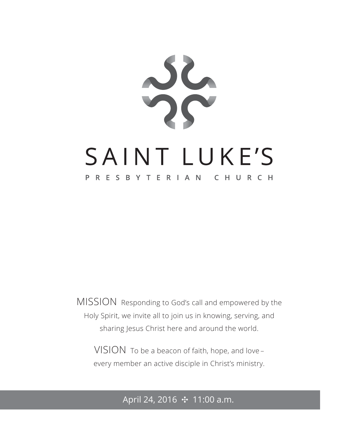

MISSION Responding to God's call and empowered by the Holy Spirit, we invite all to join us in knowing, serving, and sharing Jesus Christ here and around the world.

VISION To be a beacon of faith, hope, and love – every member an active disciple in Christ's ministry.

### April 24, 2016 ✣ 11:00 a.m.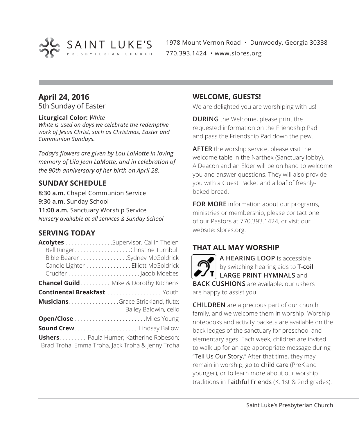

1978 Mount Vernon Road • Dunwoody, Georgia 30338 770.393.1424 • www.slpres.org

### **April 24, 2016**

5th Sunday of Easter

### **Liturgical Color:** *White*

*White is used on days we celebrate the redemptive work of Jesus Christ, such as Christmas, Easter and Communion Sundays.*

*Today's flowers are given by Lou LaMotte in loving memory of Lila Jean LaMotte, and in celebration of the 90th anniversary of her birth on April 28.*

### **SUNDAY SCHEDULE**

**8:30 a.m.** Chapel Communion Service **9:30 a.m.** Sunday School **11:00 a.m.** Sanctuary Worship Service *Nursery available at all services & Sunday School*

### **SERVING TODAY**

| Acolytes Supervisor, Cailin Thelen             |                                                  |
|------------------------------------------------|--------------------------------------------------|
|                                                | Bell Ringer. Christine Turnbull                  |
|                                                | Bible Bearer Sydney McGoldrick                   |
|                                                | Candle Lighter Elliott McGoldrick                |
|                                                |                                                  |
| <b>Chancel Guild</b> Mike & Dorothy Kitchens   |                                                  |
| <b>Continental Breakfast </b> Youth            |                                                  |
| <b>MusiciansGrace Strickland, flute;</b>       | Bailey Baldwin, cello                            |
|                                                |                                                  |
| <b>Sound Crew Lindsay Ballow</b>               |                                                  |
| <b>Ushers.</b> Paula Humer; Katherine Robeson; | Brad Troha, Emma Troha, Jack Troha & Jenny Troha |

### **WELCOME, GUESTS!**

We are delighted you are worshiping with us!

**DURING** the Welcome, please print the requested information on the Friendship Pad and pass the Friendship Pad down the pew.

**AFTER** the worship service, please visit the welcome table in the Narthex (Sanctuary lobby). A Deacon and an Elder will be on hand to welcome you and answer questions. They will also provide you with a Guest Packet and a loaf of freshlybaked bread.

**FOR MORE** information about our programs, ministries or membership, please contact one of our Pastors at 770.393.1424, or visit our website: slpres.org.

### **THAT ALL MAY WORSHIP**

**A HEARING LOOP** is accessible by switching hearing aids to **T-coil**. **LARGE PRINT HYMNALS** and **BACK CUSHIONS** are available; our ushers are happy to assist you.

**CHILDREN** are a precious part of our church family, and we welcome them in worship. Worship notebooks and activity packets are available on the back ledges of the sanctuary for preschool and elementary ages. Each week, children are invited to walk up for an age-appropriate message during "Tell Us Our Story." After that time, they may remain in worship, go to child care (PreK and younger), or to learn more about our worship traditions in Faithful Friends (K, 1st & 2nd grades).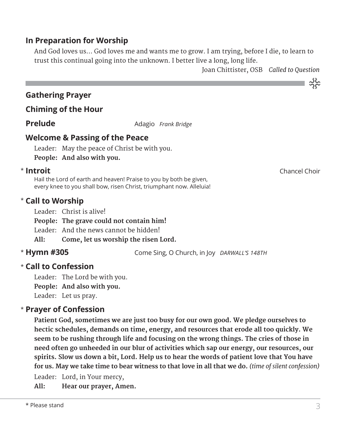### **In Preparation for Worship**

 And God loves us... God loves me and wants me to grow. I am trying, before I die, to learn to trust this continual going into the unknown. I better live a long, long life.

Joan Chittister, OSB *Called to Question*

### **Gathering Prayer**

### **Chiming of the Hour**

**Prelude** Adagio *Frank Bridge* 

### **Welcome & Passing of the Peace**

Leader: May the peace of Christ be with you. **People: And also with you.**

### \* Introit

 Hail the Lord of earth and heaven! Praise to you by both be given, every knee to you shall bow, risen Christ, triumphant now. Alleluia!

### **Call to Worship** \*

Leader: Christ is alive!

**People: The grave could not contain him!** 

Leader: And the news cannot be hidden!

**All: Come, let us worship the risen Lord.**

### \* Hymn #305

**Hymn #305** Come Sing, O Church, in Joy *DARWALL'S 148TH*

### **Call to Confession**  \*

Leader: The Lord be with you. **People: And also with you.**

Leader: Let us pray.

### **Prayer of Confession**  \*

 **Patient God, sometimes we are just too busy for our own good. We pledge ourselves to hectic schedules, demands on time, energy, and resources that erode all too quickly. We seem to be rushing through life and focusing on the wrong things. The cries of those in need often go unheeded in our blur of activities which sap our energy, our resources, our spirits. Slow us down a bit, Lord. Help us to hear the words of patient love that You have for us. May we take time to bear witness to that love in all that we do.** *(time of silent confession)*

Leader: Lord, in Your mercy,

**All: Hear our prayer, Amen.**

**Introit** Chancel Choir

သိုင်္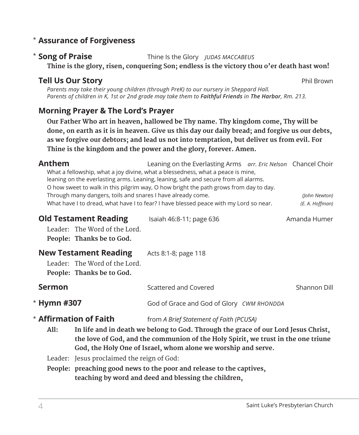### **Assurance of Forgiveness** \*

### \* Song of Praise

**Song of Praise** Thine Is the Glory *JUDAS MACCABEUS*

 **Thine is the glory, risen, conquering Son; endless is the victory thou o'er death hast won!**

### **Tell Us Our Story Phil Brown**

*Parents may take their young children (through PreK) to our nursery in Sheppard Hall. Parents of children in K, 1st or 2nd grade may take them to Faithful Friends in The Harbor, Rm. 213.*

### **Morning Prayer & The Lord's Prayer**

 **Our Father Who art in heaven, hallowed be Thy name. Thy kingdom come, Thy will be done, on earth as it is in heaven. Give us this day our daily bread; and forgive us our debts, as we forgive our debtors; and lead us not into temptation, but deliver us from evil. For Thine is the kingdom and the power and the glory, forever. Amen.**

|                                         | (John Newton)                                                                                                                                                                                                                                                                                                                                                                                                                                                                                                                                                                                                                                                                                                                                                  |
|-----------------------------------------|----------------------------------------------------------------------------------------------------------------------------------------------------------------------------------------------------------------------------------------------------------------------------------------------------------------------------------------------------------------------------------------------------------------------------------------------------------------------------------------------------------------------------------------------------------------------------------------------------------------------------------------------------------------------------------------------------------------------------------------------------------------|
| Isaiah 46:8-11; page 636                | (E. A. Hoffman)<br>Amanda Humer                                                                                                                                                                                                                                                                                                                                                                                                                                                                                                                                                                                                                                                                                                                                |
| Acts 8:1-8; page 118                    |                                                                                                                                                                                                                                                                                                                                                                                                                                                                                                                                                                                                                                                                                                                                                                |
| Scattered and Covered                   | Shannon Dill                                                                                                                                                                                                                                                                                                                                                                                                                                                                                                                                                                                                                                                                                                                                                   |
|                                         |                                                                                                                                                                                                                                                                                                                                                                                                                                                                                                                                                                                                                                                                                                                                                                |
| from A Brief Statement of Faith (PCUSA) |                                                                                                                                                                                                                                                                                                                                                                                                                                                                                                                                                                                                                                                                                                                                                                |
| Leader: The Word of the Lord.           | What a fellowship, what a joy divine, what a blessedness, what a peace is mine,<br>leaning on the everlasting arms. Leaning, leaning, safe and secure from all alarms.<br>O how sweet to walk in this pilgrim way, O how bright the path grows from day to day.<br>Through many dangers, toils and snares I have already come.<br>What have I to dread, what have I to fear? I have blessed peace with my Lord so near.<br>God of Grace and God of Glory CWM RHONDDA<br>In life and in death we belong to God. Through the grace of our Lord Jesus Christ,<br>the love of God, and the communion of the Holy Spirit, we trust in the one triune<br>God, the Holy One of Israel, whom alone we worship and serve.<br>Leader: Jesus proclaimed the reign of God: |

**People: preaching good news to the poor and release to the captives, teaching by word and deed and blessing the children,** 

\*

\*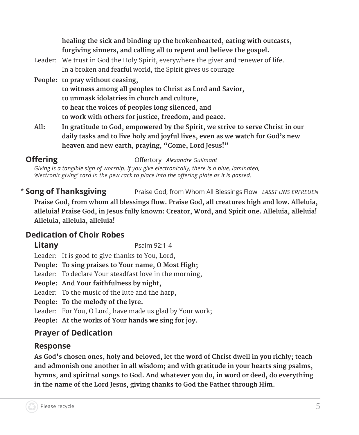| healing the sick and binding up the brokenhearted, eating with outcasts, |  |
|--------------------------------------------------------------------------|--|
| forgiving sinners, and calling all to repent and believe the gospel.     |  |

- Leader: We trust in God the Holy Spirit, everywhere the giver and renewer of life. In a broken and fearful world, the Spirit gives us courage
- **People: to pray without ceasing,**

**to witness among all peoples to Christ as Lord and Savior, to unmask idolatries in church and culture, to hear the voices of peoples long silenced, and to work with others for justice, freedom, and peace.** 

**All: In gratitude to God, empowered by the Spirit, we strive to serve Christ in our daily tasks and to live holy and joyful lives, even as we watch for God's new heaven and new earth, praying, "Come, Lord Jesus!"** 

**Offering Community Community Community Community Offertory** *Alexandre Guilmant* 

*Giving is a tangible sign of worship. If you give electronically, there is a blue, laminated, 'electronic giving' card in the pew rack to place into the offering plate as it is passed.* 

\* Song of Thanksgiving **Song of Thanksgiving** Praise God, from Whom All Blessings Flow *LASST UNS ERFREUEN* **Praise God, from whom all blessings flow. Praise God, all creatures high and low. Alleluia, alleluia! Praise God, in Jesus fully known: Creator, Word, and Spirit one. Alleluia, alleluia! Alleluia, alleluia, alleluia!**

### **Dedication of Choir Robes**

**Litany** Psalm 92:1-4

Leader: It is good to give thanks to You, Lord,

**People: To sing praises to Your name, O Most High;**

Leader: To declare Your steadfast love in the morning,

**People: And Your faithfulness by night,**

Leader: To the music of the lute and the harp,

**People: To the melody of the lyre.**

Leader: For You, O Lord, have made us glad by Your work;

**People: At the works of Your hands we sing for joy.**

### **Prayer of Dedication**

### **Response**

 **As God's chosen ones, holy and beloved, let the word of Christ dwell in you richly; teach and admonish one another in all wisdom; and with gratitude in your hearts sing psalms, hymns, and spiritual songs to God. And whatever you do, in word or deed, do everything in the name of the Lord Jesus, giving thanks to God the Father through Him.**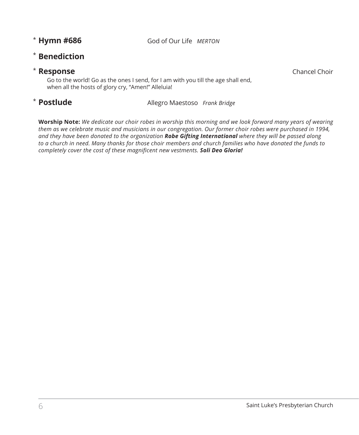**Hymn #686** God of Our Life *MERTON*

### **Benediction** \*

### **Response** Chancel Choir **Chancel Choir**

 Go to the world! Go as the ones I send, for I am with you till the age shall end, when all the hosts of glory cry, "Amen!" Alleluia!

### \* Postlude

**Postlude** Allegro Maestoso *Frank Bridge*

**Worship Note:** *We dedicate our choir robes in worship this morning and we look forward many years of wearing them as we celebrate music and musicians in our congregation. Our former choir robes were purchased in 1994, and they have been donated to the organization Robe Gifting International where they will be passed along to a church in need. Many thanks for those choir members and church families who have donated the funds to completely cover the cost of these magnificent new vestments. Soli Deo Gloria!*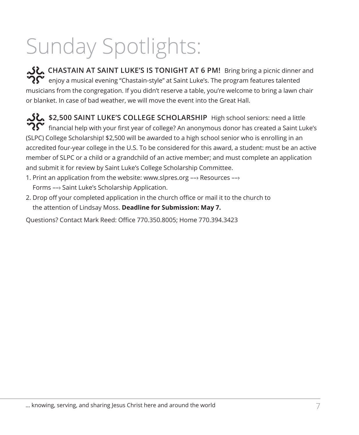# Sunday Spotlights:

**CHASTAIN AT SAINT LUKE'S IS TONIGHT AT 6 PM!** Bring bring a picnic dinner and  $\widetilde{\mathbf{Q}}^{\bullet}$  enjoy a musical evening "Chastain-style" at Saint Luke's. The program features talented musicians from the congregation. If you didn't reserve a table, you're welcome to bring a lawn chair or blanket. In case of bad weather, we will move the event into the Great Hall.

**\$2,500 SAINT LUKE'S COLLEGE SCHOLARSHIP** High school seniors: need a little  $\boldsymbol{R}$  financial help with your first year of college? An anonymous donor has created a Saint Luke's (SLPC) College Scholarship! \$2,500 will be awarded to a high school senior who is enrolling in an accredited four-year college in the U.S. To be considered for this award, a student: must be an active member of SLPC or a child or a grandchild of an active member; and must complete an application and submit it for review by Saint Luke's College Scholarship Committee.

- 1. Print an application from the website: www.slpres.org ––› Resources ––› Forms ––› Saint Luke's Scholarship Application.
- 2. Drop off your completed application in the church office or mail it to the church to the attention of Lindsay Moss. **Deadline for Submission: May 7.**

Questions? Contact Mark Reed: Office 770.350.8005; Home 770.394.3423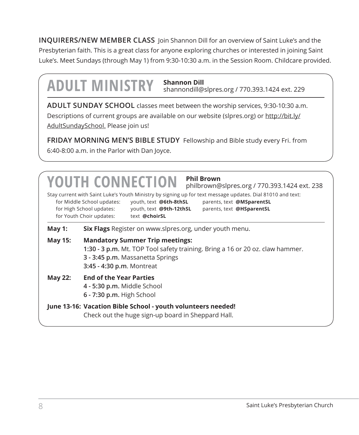**INQUIRERS/NEW MEMBER CLASS** Join Shannon Dill for an overview of Saint Luke's and the Presbyterian faith. This is a great class for anyone exploring churches or interested in joining Saint Luke's. Meet Sundays (through May 1) from 9:30-10:30 a.m. in the Session Room. Childcare provided.

## **ADULT MINISTRY Shannon Dill**

shannondill@slpres.org / 770.393.1424 ext. 229

**ADULT SUNDAY SCHOOL** classes meet between the worship services, 9:30-10:30 a.m. Descriptions of current groups are available on our website (slpres.org) or http://bit.ly/ AdultSundaySchool. Please join us!

**FRIDAY MORNING MEN'S BIBLE STUDY** Fellowship and Bible study every Fri. from 6:40-8:00 a.m. in the Parlor with Dan Joyce.

### Stay current with Saint Luke's Youth Ministry by signing up for text message updates. Dial 81010 and text: for Middle School updates: youth, text **@6th-8thSL** parents, text **@MSparentSL** for High School updates: youth, text **@9th-12thSL** parents, text **@HSparentSL** for Youth Choir updates: text @choirSL **YOUTH CONNECTION Phil Brown** philbrown@slpres.org / 770.393.1424 ext. 238 **May 1: Six Flags** Register on www.slpres.org, under youth menu. **May 15: Mandatory Summer Trip meetings: 1:30 - 3 p.m.** Mt. TOP Tool safety training. Bring a 16 or 20 oz. claw hammer. **3 - 3:45 p.m.** Massanetta Springs **3:45 - 4:30 p.m**. Montreat **May 22: End of the Year Parties 4 - 5:30 p.m.** Middle School **6 - 7:30 p.m.** High School **June 13-16: Vacation Bible School - youth volunteers needed!**  Check out the huge sign-up board in Sheppard Hall.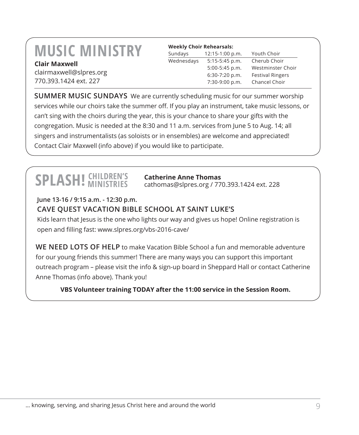### **MUSIC MINISTRY Clair Maxwell**

clairmaxwell@slpres.org 770.393.1424 ext. 227

| <b>Weekly Choir Rehearsals:</b> |                  |                         |
|---------------------------------|------------------|-------------------------|
| Sundays                         | 12:15-1:00 p.m.  | Youth Choir             |
| Wednesdays                      | $5:15-5:45$ p.m. | Cherub Choir            |
|                                 | 5:00-5:45 p.m.   | Westminster Choir       |
|                                 | 6:30-7:20 p.m.   | <b>Festival Ringers</b> |
|                                 | 7:30-9:00 p.m.   | Chancel Choir           |

**SUMMER MUSIC SUNDAYS** We are currently scheduling music for our summer worship services while our choirs take the summer off. If you play an instrument, take music lessons, or can't sing with the choirs during the year, this is your chance to share your gifts with the congregation. Music is needed at the 8:30 and 11 a.m. services from June 5 to Aug. 14; all singers and instrumentalists (as soloists or in ensembles) are welcome and appreciated! Contact Clair Maxwell (info above) if you would like to participate.

## **SPLASH!** *CHILDREN'S*

### **Catherine Anne Thomas**

cathomas@slpres.org / 770.393.1424 ext. 228

**June 13-16 / 9:15 a.m. - 12:30 p.m.**

### **CAVE QUEST VACATION BIBLE SCHOOL AT SAINT LUKE'S**

Kids learn that Jesus is the one who lights our way and gives us hope! Online registration is open and filling fast: www.slpres.org/vbs-2016-cave/

**WE NEED LOTS OF HELP** to make Vacation Bible School a fun and memorable adventure for our young friends this summer! There are many ways you can support this important outreach program – please visit the info & sign-up board in Sheppard Hall or contact Catherine Anne Thomas (info above). Thank you!

**VBS Volunteer training TODAY after the 11:00 service in the Session Room.**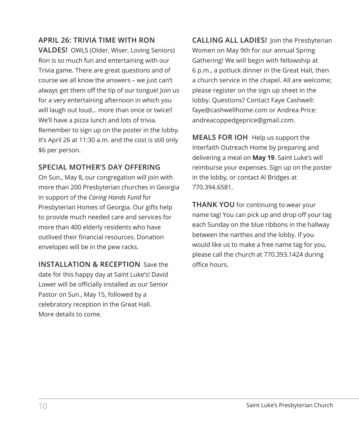### **APRIL 26: TRIVIA TIME WITH RON**

**VALDES!** OWLS (Older, Wiser, Loving Seniors) Ron is so much fun and entertaining with our Trivia game. There are great questions and of course we all know the answers – we just can't always get them off the tip of our tongue! Join us for a very entertaining afternoon in which you will laugh out loud… more than once or twice!! We'll have a pizza lunch and lots of trivia. Remember to sign up on the poster in the lobby. It's April 26 at 11:30 a.m. and the cost is still only \$6 per person.

### **SPECIAL MOTHER'S DAY OFFERING**

On Sun., May 8, our congregation will join with more than 200 Presbyterian churches in Georgia in support of the *Caring Hands Fund* for Presbyterian Homes of Georgia. Our gifts help to provide much needed care and services for more than 400 elderly residents who have outlived their financial resources. Donation envelopes will be in the pew racks.

**INSTALLATION & RECEPTION** Save the date for this happy day at Saint Luke's! David Lower will be officially installed as our Senior Pastor on Sun., May 15, followed by a celebratory reception in the Great Hall. More details to come.

**CALLING ALL LADIES!** Join the Presbyterian Women on May 9th for our annual Spring Gathering! We will begin with fellowship at 6 p.m., a potluck dinner in the Great Hall, then a church service in the chapel. All are welcome; please register on the sign up sheet in the lobby. Questions? Contact Faye Cashwell: faye@cashwellhome.com or Andrea Price: andreacoppedgeprice@gmail.com.

**MEALS FOR IOH** Help us support the Interfaith Outreach Home by preparing and delivering a meal on **May 19**. Saint Luke's will reimburse your expenses. Sign up on the poster in the lobby, or contact Al Bridges at 770.394.6581.

**THANK YOU** for continuing to wear your name tag! You can pick up and drop off your tag each Sunday on the blue ribbons in the hallway between the narthex and the lobby. If you would like us to make a free name tag for you, please call the church at 770.393.1424 during office hours.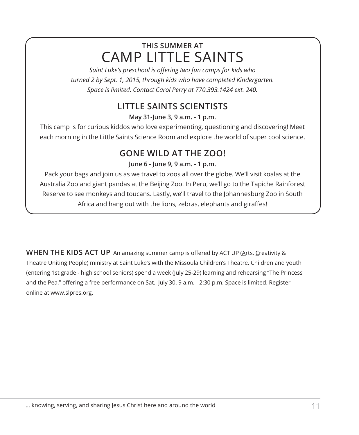### **THIS SUMMER AT** CAMP LITTLE SAINTS

*Saint Luke's preschool is offering two fun camps for kids who turned 2 by Sept. 1, 2015, through kids who have completed Kindergarten. Space is limited. Contact Carol Perry at 770.393.1424 ext. 240.*

### **LITTLE SAINTS SCIENTISTS**

**May 31-June 3, 9 a.m. - 1 p.m.**

This camp is for curious kiddos who love experimenting, questioning and discovering! Meet each morning in the Little Saints Science Room and explore the world of super cool science.

### **GONE WILD AT THE ZOO!**

**June 6 - June 9, 9 a.m. - 1 p.m.**

Pack your bags and join us as we travel to zoos all over the globe. We'll visit koalas at the Australia Zoo and giant pandas at the Beijing Zoo. In Peru, we'll go to the Tapiche Rainforest Reserve to see monkeys and toucans. Lastly, we'll travel to the Johannesburg Zoo in South Africa and hang out with the lions, zebras, elephants and giraffes!

WHEN THE KIDS ACT UP An amazing summer camp is offered by ACT UP (Arts, Creativity & Theatre Uniting People) ministry at Saint Luke's with the Missoula Children's Theatre. Children and youth (entering 1st grade - high school seniors) spend a week (July 25-29) learning and rehearsing "The Princess and the Pea," offering a free performance on Sat., July 30. 9 a.m. - 2:30 p.m. Space is limited. Register online at www.slpres.org.